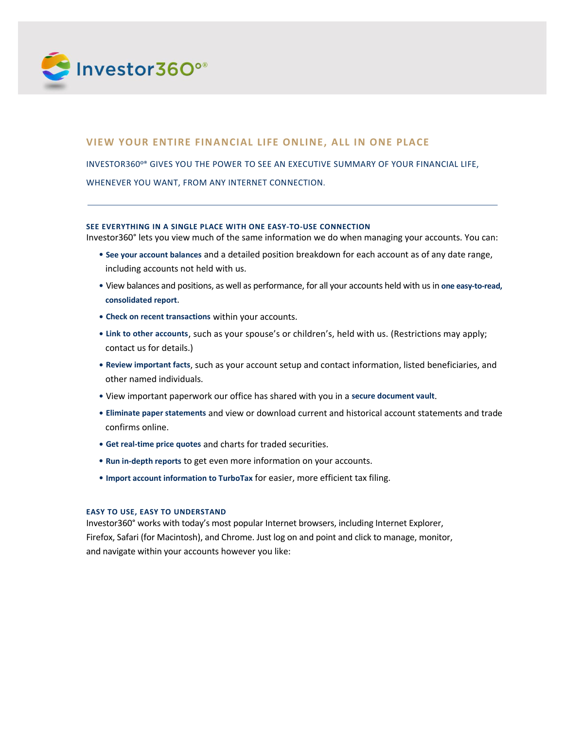

# **VIEW YOUR ENTIRE FINANCIAL LIFE ONLINE, ALL IN ONE PLACE**

INVESTOR360º® GIVES YOU THE POWER TO SEE AN EXECUTIVE SUMMARY OF YOUR FINANCIAL LIFE, WHENEVER YOU WANT, FROM ANY INTERNET CONNECTION.

### **SEE EVERYTHING IN A SINGLE PLACE WITH ONE EASY-TO-USE CONNECTION**

Investor360° lets you view much of the same information we do when managing your accounts. You can:

- **See your account balances** and a detailed position breakdown for each account as of any date range, including accounts not held with us.
- View balances and positions, as well as performance, for all your accounts held with us in **one easy-to-read, consolidated report**.
- **Check on recent transactions** within your accounts.
- **Link to other accounts**, such as your spouse's or children's, held with us. (Restrictions may apply; contact us for details.)
- **Review important facts**, such as your account setup and contact information, listed beneficiaries, and other named individuals.
- View important paperwork our office has shared with you in a **secure document vault**.
- **Eliminate paper statements** and view or download current and historical account statements and trade confirms online.
- **Get real-time price quotes** and charts for traded securities.
- **Run in-depth reports** to get even more information on your accounts.
- **Import account information to TurboTax** for easier, more efficient tax filing.

### **EASY TO USE, EASY TO UNDERSTAND**

Investor360° works with today's most popular Internet browsers, including Internet Explorer, Firefox, Safari (for Macintosh), and Chrome. Just log on and point and click to manage, monitor, and navigate within your accounts however you like: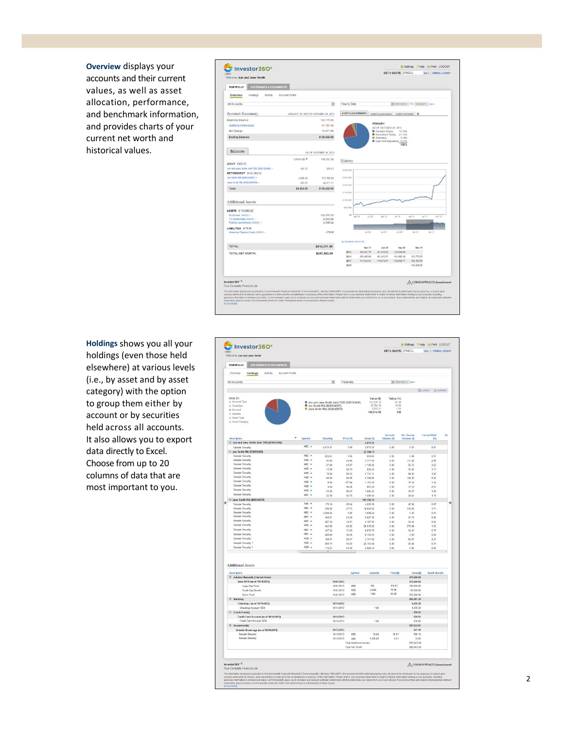**Overview** displays your accounts and their current values, as well as asset allocation , performance, and benchmark information, and provides charts of your current net worth and historical values.

| Welcome Jon and Jane Smith                                                                                                                                                                                                                                                                                                                                                                                                                                |                                      |                          |                         |                    |                                            |                                    |                                         |                                |
|-----------------------------------------------------------------------------------------------------------------------------------------------------------------------------------------------------------------------------------------------------------------------------------------------------------------------------------------------------------------------------------------------------------------------------------------------------------|--------------------------------------|--------------------------|-------------------------|--------------------|--------------------------------------------|------------------------------------|-----------------------------------------|--------------------------------|
| <b>PORTFOLIO</b><br><b>STATEMENTS &amp; DOCUMENTS</b>                                                                                                                                                                                                                                                                                                                                                                                                     |                                      |                          |                         |                    |                                            |                                    |                                         |                                |
| Overview<br>Holdings<br>Activity                                                                                                                                                                                                                                                                                                                                                                                                                          | Account Profile                      |                          |                         |                    |                                            |                                    |                                         |                                |
| All Accounts                                                                                                                                                                                                                                                                                                                                                                                                                                              |                                      | $\overline{\phantom{a}}$ | Year to Date            |                    |                                            |                                    | $\bullet$ 01/01/2013 TO 10/29/2013 GO + |                                |
| Account Summary                                                                                                                                                                                                                                                                                                                                                                                                                                           | JANUARY 01, 2013 TO OCTOBER 29, 2013 |                          | ASSET CLASS (PRIMARY)   |                    |                                            | ASSET CLASS (K.RAY) ASSET CATEGORY |                                         |                                |
| Beginning Balance                                                                                                                                                                                                                                                                                                                                                                                                                                         |                                      | 163,775.85               |                         |                    |                                            |                                    |                                         |                                |
| Additions/Withdrawals                                                                                                                                                                                                                                                                                                                                                                                                                                     |                                      | $-41.787.45$             |                         |                    | PRIMARY<br>AS OF OCTOBER 29, 2013          |                                    |                                         |                                |
| Net Change                                                                                                                                                                                                                                                                                                                                                                                                                                                |                                      | 14.671.66                |                         |                    | <b>Domestic Equity</b>                     | 72,25%                             |                                         |                                |
| <b>Ending Balance:</b>                                                                                                                                                                                                                                                                                                                                                                                                                                    |                                      | \$136,660.06             |                         |                    | International Equity<br><b>E</b> Atemative | 21.14%<br>3.40%                    |                                         |                                |
|                                                                                                                                                                                                                                                                                                                                                                                                                                                           |                                      |                          |                         |                    |                                            | Cash And Equivalents 3.21%<br>100% |                                         |                                |
| <b>Balances</b>                                                                                                                                                                                                                                                                                                                                                                                                                                           |                                      | AS OF OCTOBER 29, 2013   |                         |                    |                                            |                                    |                                         |                                |
|                                                                                                                                                                                                                                                                                                                                                                                                                                                           | CASH (\$)                            | VALUE (\$)               | History                 |                    |                                            |                                    |                                         |                                |
| JOINT \$560.55                                                                                                                                                                                                                                                                                                                                                                                                                                            |                                      |                          |                         |                    |                                            |                                    |                                         |                                |
| Jon and Jane Smith Joint TOD (B36123456) =<br><b>RETIREMENT \$136,099.51</b>                                                                                                                                                                                                                                                                                                                                                                              | 660.55                               | 660.55                   | \$300,000               |                    |                                            |                                    |                                         |                                |
| Jon Smith IRA (B36234567) =                                                                                                                                                                                                                                                                                                                                                                                                                               | 3.009.42                             | 113 182 20               | \$258,000               |                    |                                            |                                    |                                         |                                |
| Jane Smith IRA (8363456789) -                                                                                                                                                                                                                                                                                                                                                                                                                             | 823.61                               | 22,917.31                |                         |                    |                                            |                                    |                                         |                                |
|                                                                                                                                                                                                                                                                                                                                                                                                                                                           | \$4,393,58                           | \$136,660.06             | \$200,000               |                    |                                            |                                    |                                         |                                |
| Total:                                                                                                                                                                                                                                                                                                                                                                                                                                                    |                                      |                          | \$150,000               |                    |                                            |                                    |                                         |                                |
| Additional Assets                                                                                                                                                                                                                                                                                                                                                                                                                                         |                                      |                          | 5100,000                |                    |                                            |                                    |                                         |                                |
| ASSETS \$110,892.62                                                                                                                                                                                                                                                                                                                                                                                                                                       |                                      |                          | \$53,000                |                    |                                            |                                    |                                         |                                |
| Scottrade XXXXX -                                                                                                                                                                                                                                                                                                                                                                                                                                         |                                      | 102.370.32               | to.                     | $2a + 25$<br>34.08 | Jan '10                                    | 141770                             | Jan '11<br>TP'lst.                      | 16n'12                         |
| TD Ameritrade XXXXX -<br>Fidelity Investments XXXXX -                                                                                                                                                                                                                                                                                                                                                                                                     |                                      | 5 233 06<br>3.289.24     |                         |                    |                                            |                                    |                                         |                                |
|                                                                                                                                                                                                                                                                                                                                                                                                                                                           |                                      |                          |                         |                    |                                            |                                    |                                         |                                |
| LIABILITIES \$170.92<br>American Express Cards XXXXX -                                                                                                                                                                                                                                                                                                                                                                                                    |                                      | $-170.92$                |                         | 10n.04             | Jan 06                                     | 346.08                             | Jan. 10                                 | Jan 12                         |
|                                                                                                                                                                                                                                                                                                                                                                                                                                                           |                                      |                          | B Quarterly Values (\$) |                    |                                            |                                    |                                         |                                |
| <b>TOTAL:</b>                                                                                                                                                                                                                                                                                                                                                                                                                                             |                                      | \$110,721,70             |                         | Mar 31             | Jun 30                                     | Sep 30                             | Dec 31                                  |                                |
| TOTAL NET WORTH:                                                                                                                                                                                                                                                                                                                                                                                                                                          |                                      | \$247,382.30             | 2013                    | 166,261.75         | 161.636.62                                 | 130,662.99                         |                                         |                                |
|                                                                                                                                                                                                                                                                                                                                                                                                                                                           |                                      |                          | 2012                    | 260,495.98         | 181,263.55                                 | 191,982.38                         | 163,775.85                              |                                |
|                                                                                                                                                                                                                                                                                                                                                                                                                                                           |                                      |                          | 2011                    | 113, 124.63        | 118,972.57                                 | 102,083.77                         | 199,163.50                              |                                |
|                                                                                                                                                                                                                                                                                                                                                                                                                                                           |                                      |                          | 2010                    |                    |                                            |                                    | 100 568 56                              |                                |
|                                                                                                                                                                                                                                                                                                                                                                                                                                                           |                                      |                          |                         |                    |                                            |                                    |                                         |                                |
| Investor360 <sup>-81</sup><br>Your Complete Financial Life                                                                                                                                                                                                                                                                                                                                                                                                |                                      |                          |                         |                    |                                            |                                    |                                         | COMMONWEALTH financial network |
| The information displayed is provided by Commonwealth Financial Network® ("Commonwealth"), Member FINRA/SIPC: It is provided for informational purposes only, should not be relied upon for tax purposes, is based upon<br>sources believed to be reliable, but no guarantee is made as to the completeness or accuracy of the information. Please refer to your custodial statements to obtain complete information relating to your accounts, including |                                      |                          |                         |                    |                                            |                                    |                                         |                                |

**Holdings** shows you all your holdings (even those held elsewhere) at various levels (i.e., by asset and by asset category) with the option to group them either by account or by securities hel d across all accounts. It also allows you to export data directly to Excel. Choose from up to 20 columns of data that are most important to you.

| Welcome Jon and Jane Smith                                                                                                                                                                                                                              |                     |                                          |                                            |                          | GET A QUOTE: SYMBOL |                                           | GO   SYMBOL LOOKUP             |    |
|---------------------------------------------------------------------------------------------------------------------------------------------------------------------------------------------------------------------------------------------------------|---------------------|------------------------------------------|--------------------------------------------|--------------------------|---------------------|-------------------------------------------|--------------------------------|----|
| STATEMENTS & DOCUMENTS<br><b>PORTFOLIO</b>                                                                                                                                                                                                              |                     |                                          |                                            |                          |                     |                                           |                                |    |
| Overview<br>Holdings<br>Account Profile<br>Activity                                                                                                                                                                                                     |                     |                                          |                                            |                          |                     |                                           |                                |    |
| All Accounts                                                                                                                                                                                                                                            |                     | ×                                        | Yesterday                                  |                          |                     | $-10/31/2013$ co ·                        |                                |    |
|                                                                                                                                                                                                                                                         |                     |                                          |                                            |                          |                     |                                           | <b>LE LAYOUT EL EXPORT</b>     |    |
|                                                                                                                                                                                                                                                         |                     |                                          |                                            |                          |                     |                                           |                                |    |
| VIEW BY:<br>Account Type                                                                                                                                                                                                                                |                     | Jon and Jane Smith Joint TOD (B36123456) |                                            | Value (\$)<br>112.135.12 | Value (%)<br>81.90  |                                           |                                |    |
| Custodian                                                                                                                                                                                                                                               |                     | Jon Smith IRA (B36234567)                |                                            | 22,704.16                | 16.58               |                                           |                                |    |
| W. Account                                                                                                                                                                                                                                              |                     | Jane Smith IRA (B36345678)               |                                            | 2.075.31<br>136,914.59   | 1.62<br>100         |                                           |                                |    |
| (i) Security<br>C Asset Type                                                                                                                                                                                                                            |                     |                                          |                                            |                          |                     |                                           |                                |    |
| <b>III</b> Asset Category                                                                                                                                                                                                                               |                     |                                          |                                            |                          |                     |                                           |                                |    |
|                                                                                                                                                                                                                                                         |                     |                                          |                                            |                          | Accrued             | Est. Annual                               | CurrentYleId                   | Un |
| Description<br>$=$ Jon and Jane Smith Joint TOD (836123456)                                                                                                                                                                                             | Symbol              | Quantity                                 | Price (\$)                                 | Value (S)<br>2,075.31    | Interest (\$)       | Income (\$)                               | (54)                           |    |
| Sample Security                                                                                                                                                                                                                                         | ARC Y               | 2.076.31                                 | 1.00                                       | 2.075.31                 | 0.00                | 0.21                                      | 0.01                           |    |
| $=$ Jon Smith IRA (B36234567)                                                                                                                                                                                                                           |                     |                                          |                                            | 22,704.15                |                     |                                           |                                |    |
| Sample Security                                                                                                                                                                                                                                         | ABC +               | 823.61                                   | 1.00                                       | 823.61                   | 0.00                | 0.08                                      | 0.01                           |    |
| Sample Security<br>Sample Security                                                                                                                                                                                                                      | $ABC -$<br>ABC +    | 91.00                                    | 40.85                                      | 3.717.35                 | 0.00                | 111.02                                    | 2.99                           |    |
| Sample Security                                                                                                                                                                                                                                         | $ABC$ $\rightarrow$ | 27.00                                    | 41.87                                      | 1 130 36                 | 0.00<br>0.00        | 36.72<br>30.96                            | 3.25                           |    |
| Sample Security                                                                                                                                                                                                                                         | ABC +               | 12.00<br>70.00                           | 69.13<br>81.65                             | 829.56<br>5,716.16       | 0.00                | 84.00                                     | 3.73<br>1.47                   |    |
| Sample Security                                                                                                                                                                                                                                         | ABC +               | 60.00                                    | 89.98                                      | 5.398.80                 | 0.00                | 108.00                                    | 2.00                           |    |
| Sample Security                                                                                                                                                                                                                                         | ARC -               | 9.00                                     | 127.94                                     | 1.151.46                 | 0.00                | 13.14                                     | 1.14                           |    |
| Sample Security                                                                                                                                                                                                                                         | ABC +               | 9.00                                     | 94.58                                      | 851.22                   | 0.00                | 17.10                                     | 2.01                           |    |
| Sample Security                                                                                                                                                                                                                                         | ABC -               | 21.00                                    | 80.25                                      | 1.685.25                 | 0.00                | 18.27                                     | 1.08                           |    |
| Sample Security                                                                                                                                                                                                                                         | ABC +               | 22.00                                    | 63.70                                      | 140140                   | 0.00                | 24.42                                     | 1.74                           |    |
| $=$ Jane Smith IRA (B36345678)                                                                                                                                                                                                                          |                     |                                          |                                            | 112, 135.12              |                     |                                           |                                |    |
| Sample Security                                                                                                                                                                                                                                         | ABC +<br>ABC +      | 173.19                                   | 28.04                                      | 4.856.36                 | 0.00                | 46.94                                     | 0.97                           |    |
| Sample Security<br>Sample Security                                                                                                                                                                                                                      | ABC +               | 390.83<br>3,009.44                       | 47.71<br>1.00                              | 18.646.50<br>3.009.44    | 0.00<br>0.00        | 318.92<br>0.30                            | 1.71<br>0.01                   |    |
| Sample Security                                                                                                                                                                                                                                         | ARC Y               | 468.27                                   | 21:20                                      | 9 9 27 30                | 0.00                | 91.78                                     | 0.92                           |    |
| Sample Security                                                                                                                                                                                                                                         | $ABC -$             | 287.10                                   | 18.07                                      | 5.187.92                 | 0.00                | 34.45                                     | 0.66                           |    |
| Sample Security                                                                                                                                                                                                                                         | ABC +               | 445.83                                   | 46.92                                      | 20 918 20                | 0.00                | 278.64                                    | 133                            |    |
| Sample Security                                                                                                                                                                                                                                         | ABC +               | 457.54                                   | 15.03                                      | 6,876.78                 | 0.00                | 54.45                                     | 0.79                           |    |
| Sample Security                                                                                                                                                                                                                                         | ABC +               | 269.89                                   | 30.20                                      | 8.150.53                 | 0.00                | 0.00                                      | 0.00                           |    |
| Sample Security                                                                                                                                                                                                                                         | ABC +               | 169.81                                   | 22.07                                      | 3,747.62                 | 0.00                | 82.87                                     | 2.21                           |    |
| Sample Security 1<br>Sample Security 1                                                                                                                                                                                                                  | ABC +<br>$ABC -$    | 509.74                                   | 49.33                                      | 26.146.38                | 0.00                | 35.68                                     | 0.14                           |    |
|                                                                                                                                                                                                                                                         |                     | 110.21                                   | 51.44                                      | 5.669.10                 | 0.00                | 0.00                                      | 0.00                           |    |
| <b>Additional Assets</b>                                                                                                                                                                                                                                |                     |                                          |                                            |                          |                     |                                           |                                |    |
| Description<br>- Advisor Manually Entered Assets                                                                                                                                                                                                        |                     |                                          | Symbol                                     | Quantity                 | Price(\$)           | <b>Value</b> <sub>[51</sub><br>370,000.00 | <b>Death Benefit</b>           |    |
| Jane 401K (as of 10/14/2013)                                                                                                                                                                                                                            |                     | 10/01/2013                               |                                            |                          |                     | 370,000.00                                |                                |    |
| Large Cap Fund                                                                                                                                                                                                                                          |                     | 10/01/2013                               | ABC                                        | 100                      | 136.67              | 100.000.00                                |                                |    |
| Small Cap Growth                                                                                                                                                                                                                                        |                     | 10/01/2013                               | ABC                                        | 2,500                    | 78.96               | 20,000.00                                 |                                |    |
| Stock Fund                                                                                                                                                                                                                                              |                     | 10/01/2013                               | ABC                                        | 1360                     | 25.89               | 250,000.00                                |                                |    |
| Banking                                                                                                                                                                                                                                                 |                     |                                          |                                            |                          |                     | 282.181.39                                |                                |    |
| Checking ( as of 10/14/2013)                                                                                                                                                                                                                            |                     | 10/14/2013<br>10/14/2013                 |                                            | 1.00                     |                     | 4,276.30<br>4 276 30                      |                                |    |
| Checking Account 1234<br>- Credit Cardial                                                                                                                                                                                                               |                     |                                          |                                            |                          |                     | .170.92                                   |                                |    |
| Credit Card Account (as of 10/14/2013)                                                                                                                                                                                                                  |                     | 10/14/2013                               |                                            |                          |                     | $-170.92$                                 |                                |    |
| Credit Card Account 1234                                                                                                                                                                                                                                |                     | 10/14/2013                               |                                            | 1.00                     |                     | $-170.92$                                 |                                |    |
| = Investment(s)                                                                                                                                                                                                                                         |                     |                                          |                                            |                          |                     | 207.832.81                                |                                |    |
| Outside Brokerage (as of 10/14/2013)                                                                                                                                                                                                                    |                     | 10/13/2013                               |                                            |                          |                     | 871.10                                    |                                |    |
| Sample Security                                                                                                                                                                                                                                         |                     | 10/13/2013                               | ABC                                        | 10.00                    | 85.61               | 856.10                                    |                                |    |
| Sample Security                                                                                                                                                                                                                                         |                     | 10/13/2013                               | ABC                                        | 1,500.00                 | 0.01                | 15.00                                     |                                |    |
|                                                                                                                                                                                                                                                         |                     |                                          | Total Additional Assets<br>Total Net Worth |                          |                     | 859 843 28<br>859, 843.28                 |                                |    |
|                                                                                                                                                                                                                                                         |                     |                                          |                                            |                          |                     |                                           |                                |    |
| Investor360° ®                                                                                                                                                                                                                                          |                     |                                          |                                            |                          |                     |                                           | COMMONWEALTH financial network |    |
|                                                                                                                                                                                                                                                         |                     |                                          |                                            |                          |                     |                                           |                                |    |
| Your Complete Financial Life<br>The information displayed is provided by Commonwealth Financial Networld ("Commonwealth"), Member FR/R-VSIPC: it is provided for informational purposes only, should not be relied upon for the purposes, is based upon |                     |                                          |                                            |                          |                     |                                           |                                |    |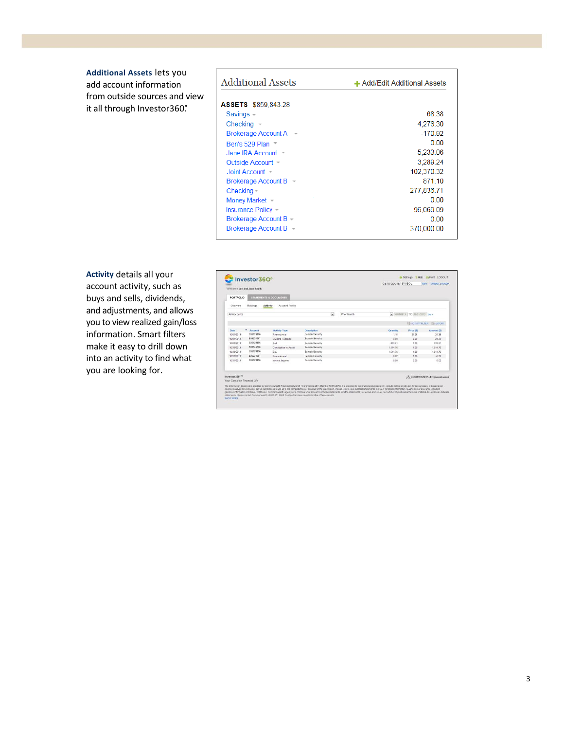**Additional Assets** lets you add account information from outside sources and view it all through Investor360.°

| <b>Additional Assets</b>                               | + Add/Edit Additional Assets |
|--------------------------------------------------------|------------------------------|
| <b>ASSETS</b> \$859,843.28                             |                              |
| Savings $-$                                            | 68.38                        |
| $Checkinq -$                                           | 4,276.30                     |
| <b>Brokerage Account A</b>                             | $-170.92$                    |
| Ben's 529 Plan =                                       | 0.00                         |
| Jane IRA Account =                                     | 5,233.06                     |
| Outside Account -                                      | 3,289.24                     |
| Joint Account $=$                                      | 102,370.32                   |
| Brokerage Account B =                                  | 871 10                       |
| Checking $-$                                           | 277,836.71                   |
| Money Market -                                         | 0.00                         |
| Insurance Policy -                                     | 96,069.09                    |
| Brokerage Account B -                                  | 0.00                         |
| <b>Brokerage Account B</b><br>$\overline{\phantom{a}}$ | 370,000.00                   |

**Activity** details all your account activity, such as buys and sells, dividends, and adjustments, and allows you to view realized gain/loss information. Smart filters make it easy to drill down into an activity to find what you are looking for.

| Welcome Jon and Jane Smith                                |                 |           |                                                                                                                |                 |                         |             |                                                                                                                                                                                                                                                                                                                                                                                                                                                                                                                                                                                                                                                                                             |                                     |             |
|-----------------------------------------------------------|-----------------|-----------|----------------------------------------------------------------------------------------------------------------|-----------------|-------------------------|-------------|---------------------------------------------------------------------------------------------------------------------------------------------------------------------------------------------------------------------------------------------------------------------------------------------------------------------------------------------------------------------------------------------------------------------------------------------------------------------------------------------------------------------------------------------------------------------------------------------------------------------------------------------------------------------------------------------|-------------------------------------|-------------|
| <b>PORTFOLIO</b>                                          |                 |           | <b>STATEMENTS &amp; DOCUMENTS</b>                                                                              |                 |                         |             |                                                                                                                                                                                                                                                                                                                                                                                                                                                                                                                                                                                                                                                                                             |                                     |             |
| Overview                                                  | <b>Holdings</b> |           | Account Profile<br>Activity                                                                                    |                 |                         |             |                                                                                                                                                                                                                                                                                                                                                                                                                                                                                                                                                                                                                                                                                             |                                     |             |
| All Accounts                                              |                 |           |                                                                                                                |                 | $\overline{\mathbf{v}}$ | Print Month |                                                                                                                                                                                                                                                                                                                                                                                                                                                                                                                                                                                                                                                                                             | 10/01/2013 TO 10/31/2013 GO +       |             |
|                                                           |                 |           |                                                                                                                |                 |                         |             |                                                                                                                                                                                                                                                                                                                                                                                                                                                                                                                                                                                                                                                                                             | <b>EN ACTIVITY FILTER 14 EXPORT</b> |             |
| Date                                                      | ٠               | Account   | <b>Activity Type</b>                                                                                           | Description     |                         |             | Quantity                                                                                                                                                                                                                                                                                                                                                                                                                                                                                                                                                                                                                                                                                    | Price (\$)                          | Amount (\$) |
| 10/01/2013                                                |                 | B36123456 | Reimestment                                                                                                    | Sample Security |                         |             | 115                                                                                                                                                                                                                                                                                                                                                                                                                                                                                                                                                                                                                                                                                         | 21.26                               | $-24.39$    |
| 10/01/2013                                                |                 | 836234667 | <b>Dividend Received</b>                                                                                       | Sample Security |                         |             | 0.00                                                                                                                                                                                                                                                                                                                                                                                                                                                                                                                                                                                                                                                                                        | 0.00                                | 24.39       |
| 10/03/2013                                                |                 | R36123456 | Sell                                                                                                           | Sample Security |                         |             | $-333.21$                                                                                                                                                                                                                                                                                                                                                                                                                                                                                                                                                                                                                                                                                   | 1.00                                | 333.21      |
| 10/30/2013                                                |                 | B35345678 | Contribution to Asset                                                                                          | Sample Security |                         |             | 1.614.76                                                                                                                                                                                                                                                                                                                                                                                                                                                                                                                                                                                                                                                                                    | 1.00.                               | 1,514.76    |
| 10/30/2013                                                |                 | B36123456 | Buy                                                                                                            | Sample Security |                         |             | 1,514.76                                                                                                                                                                                                                                                                                                                                                                                                                                                                                                                                                                                                                                                                                    | 1.00                                | $-1.514.76$ |
| 10/31/2013                                                |                 | B36234667 | Reimestiment                                                                                                   | Sample Security |                         |             | 0.02                                                                                                                                                                                                                                                                                                                                                                                                                                                                                                                                                                                                                                                                                        | 1.00                                | $-0.02$     |
| 10/31/2013                                                |                 | B36123456 | Interest Income                                                                                                | Sample Security |                         |             | 0.00                                                                                                                                                                                                                                                                                                                                                                                                                                                                                                                                                                                                                                                                                        | 0.00                                | 0.02        |
| Investor360 <sup>-6</sup><br>Your Complete Financial Life |                 |           | atatements, please contact Commonwealth at 800.251.0080. Past performance is not indicative of future results. |                 |                         |             | The information displayed is provided by Commonwealth Financial Networldb (Commonwealth"), Member FINRA/SIPC. It is provided for informational purposes only, should not be relied upon for fax purposes, is based upon<br>sources believed to be reliable, but no guarantee is made as to the completeness or accuracy of the information. Please refer to your custodial statements to obtain complete information relating to your accounts, including<br>dainloss information or lot-level cost basis. Commonwealth urges you to compare your account custodian statements with the statements you receive from us or your advisor. If you believe there are material discrepancies bet | COMMONWEALTH financial natural      |             |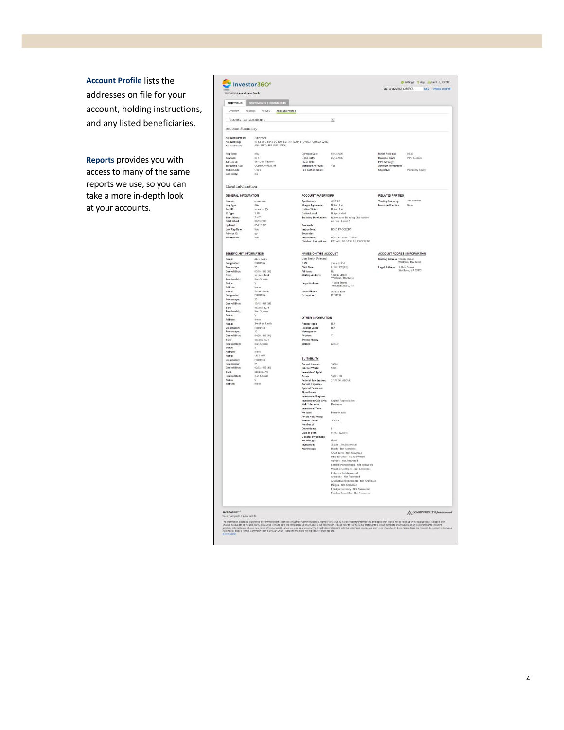**Account Profile** lists the addresses on file for your account, holding instructions, and any listed beneficiaries.

**Reports** provides you with access to many of the same reports we use, so you can take a more in-depth look at your accounts.

|                                       | PORTFOLIO STATEMENTS & DOCUMENTS   |                                                                                     |                                                                                                                                                                                                                                                                                                                                                                                                                                                                                                                                                                                                                                                                                                                                                                                                                                                                                                                                                                                                                                                                                                     |                                                     |                             |
|---------------------------------------|------------------------------------|-------------------------------------------------------------------------------------|-----------------------------------------------------------------------------------------------------------------------------------------------------------------------------------------------------------------------------------------------------------------------------------------------------------------------------------------------------------------------------------------------------------------------------------------------------------------------------------------------------------------------------------------------------------------------------------------------------------------------------------------------------------------------------------------------------------------------------------------------------------------------------------------------------------------------------------------------------------------------------------------------------------------------------------------------------------------------------------------------------------------------------------------------------------------------------------------------------|-----------------------------------------------------|-----------------------------|
| Overview.                             | Holdings Activity Account Profile  |                                                                                     |                                                                                                                                                                                                                                                                                                                                                                                                                                                                                                                                                                                                                                                                                                                                                                                                                                                                                                                                                                                                                                                                                                     |                                                     |                             |
|                                       |                                    |                                                                                     |                                                                                                                                                                                                                                                                                                                                                                                                                                                                                                                                                                                                                                                                                                                                                                                                                                                                                                                                                                                                                                                                                                     |                                                     |                             |
| B36123456 - Jon Smith IRA NFS         |                                    |                                                                                     | $\overline{\phantom{a}}$                                                                                                                                                                                                                                                                                                                                                                                                                                                                                                                                                                                                                                                                                                                                                                                                                                                                                                                                                                                                                                                                            |                                                     |                             |
| Account Summary                       |                                    |                                                                                     |                                                                                                                                                                                                                                                                                                                                                                                                                                                                                                                                                                                                                                                                                                                                                                                                                                                                                                                                                                                                                                                                                                     |                                                     |                             |
| Account Number:<br>Account Reg:       | 836123456                          |                                                                                     |                                                                                                                                                                                                                                                                                                                                                                                                                                                                                                                                                                                                                                                                                                                                                                                                                                                                                                                                                                                                                                                                                                     |                                                     |                             |
| <b>Account Name:</b>                  |                                    | NESIFINTC IRA FBOJON SMITH 1 MAIN ST. WALTHAM MA 02453<br>JON SMITH IRA (836123456) |                                                                                                                                                                                                                                                                                                                                                                                                                                                                                                                                                                                                                                                                                                                                                                                                                                                                                                                                                                                                                                                                                                     |                                                     |                             |
| Reg Type:                             | IRA                                | Contract Date:                                                                      | 08/03/2006                                                                                                                                                                                                                                                                                                                                                                                                                                                                                                                                                                                                                                                                                                                                                                                                                                                                                                                                                                                                                                                                                          | Initial Funding:                                    | \$0.00                      |
| Sponsor:<br>Advisor Id:               | NFS<br>001 (Joe Advisor)           | Open Date:<br>Close Date:                                                           | 06/13/2006                                                                                                                                                                                                                                                                                                                                                                                                                                                                                                                                                                                                                                                                                                                                                                                                                                                                                                                                                                                                                                                                                          | <b>Business Line:</b><br><b>PPS</b> Strategy:       | PPS Custom                  |
| Executing RIA:<br><b>Status Code:</b> | COMMONWEALTH                       | <b>Managed Account</b><br>Fee Authorization:                                        | Yes                                                                                                                                                                                                                                                                                                                                                                                                                                                                                                                                                                                                                                                                                                                                                                                                                                                                                                                                                                                                                                                                                                 | Advisory Investment<br>Objective:                   | <b>Primarily Equity</b>     |
| Goy Entity:                           | Open<br>No                         |                                                                                     |                                                                                                                                                                                                                                                                                                                                                                                                                                                                                                                                                                                                                                                                                                                                                                                                                                                                                                                                                                                                                                                                                                     |                                                     |                             |
| Client Information                    |                                    |                                                                                     |                                                                                                                                                                                                                                                                                                                                                                                                                                                                                                                                                                                                                                                                                                                                                                                                                                                                                                                                                                                                                                                                                                     |                                                     |                             |
|                                       |                                    |                                                                                     |                                                                                                                                                                                                                                                                                                                                                                                                                                                                                                                                                                                                                                                                                                                                                                                                                                                                                                                                                                                                                                                                                                     |                                                     |                             |
| GENERAL INFORMATION<br>Number:        | 836123456                          | ACCOUNT PAPERWORK<br>Application:                                                   | ON FILE                                                                                                                                                                                                                                                                                                                                                                                                                                                                                                                                                                                                                                                                                                                                                                                                                                                                                                                                                                                                                                                                                             | RELATED PARTIES<br><b>Trading Authority:</b>        | Joe Advisor                 |
| Reg Type:                             | <b>IRA</b>                         | <b>Margin Agreement:</b>                                                            | Not on file                                                                                                                                                                                                                                                                                                                                                                                                                                                                                                                                                                                                                                                                                                                                                                                                                                                                                                                                                                                                                                                                                         | Interested Parties:                                 | None                        |
| Tax ID:<br>ID Type:                   | xxx-xx-1234<br>SSN                 | Option Status:<br>Option Level:                                                     | Not on file<br>Not provided                                                                                                                                                                                                                                                                                                                                                                                                                                                                                                                                                                                                                                                                                                                                                                                                                                                                                                                                                                                                                                                                         |                                                     |                             |
| Short Name:                           | SMITH                              | <b>Standing Distributi</b>                                                          | ding Distributi<br>Retirement Sta                                                                                                                                                                                                                                                                                                                                                                                                                                                                                                                                                                                                                                                                                                                                                                                                                                                                                                                                                                                                                                                                   |                                                     |                             |
| Fatablished:<br>Updated:              | 06/13/2006<br>05/21/2013           | Proceeds                                                                            | on File - Level 2                                                                                                                                                                                                                                                                                                                                                                                                                                                                                                                                                                                                                                                                                                                                                                                                                                                                                                                                                                                                                                                                                   |                                                     |                             |
| Last Rap Date:                        | <b>N/A</b>                         | Instructions:                                                                       | HOLD PROCEEDS                                                                                                                                                                                                                                                                                                                                                                                                                                                                                                                                                                                                                                                                                                                                                                                                                                                                                                                                                                                                                                                                                       |                                                     |                             |
| Advisor ID:<br>Restrictions:          | 001                                | Securities<br>nstructi                                                              | HOLD IN STREET NAME                                                                                                                                                                                                                                                                                                                                                                                                                                                                                                                                                                                                                                                                                                                                                                                                                                                                                                                                                                                                                                                                                 |                                                     |                             |
|                                       |                                    |                                                                                     | Dividend Instructions: PAY ALL TO CASH AS PROCEEDS                                                                                                                                                                                                                                                                                                                                                                                                                                                                                                                                                                                                                                                                                                                                                                                                                                                                                                                                                                                                                                                  |                                                     |                             |
| <b>BENEFICIARY INFORMATION</b>        |                                    | NAMES ON THIS ACCOUNT                                                               |                                                                                                                                                                                                                                                                                                                                                                                                                                                                                                                                                                                                                                                                                                                                                                                                                                                                                                                                                                                                                                                                                                     | <b>ACCOUNT ADDRESS INFORMATION</b>                  |                             |
| Name:                                 | Alex Smith                         | Jon Smith (Primary)                                                                 |                                                                                                                                                                                                                                                                                                                                                                                                                                                                                                                                                                                                                                                                                                                                                                                                                                                                                                                                                                                                                                                                                                     | Mailing Address: 1 Main Street<br>Waltham, MA 02453 |                             |
| Designation:<br>Percentage:           | PRIMARY<br>25                      | ssn.<br>Birth Date:                                                                 | KKK-KK-1234<br>01/06/1932 [81]                                                                                                                                                                                                                                                                                                                                                                                                                                                                                                                                                                                                                                                                                                                                                                                                                                                                                                                                                                                                                                                                      | Legal Address: 1 Main Street<br>Waltham, MA 02453   |                             |
| Date of Birth:                        | 03/09/1956 1571                    | Affiliated:                                                                         | No                                                                                                                                                                                                                                                                                                                                                                                                                                                                                                                                                                                                                                                                                                                                                                                                                                                                                                                                                                                                                                                                                                  |                                                     |                             |
| SSN:<br>Relationship:                 | xx-xxx-1234<br>Non-Spouse          | <b>Mailing Address:</b>                                                             | 1 Main Street<br>Waltham, MA 02453                                                                                                                                                                                                                                                                                                                                                                                                                                                                                                                                                                                                                                                                                                                                                                                                                                                                                                                                                                                                                                                                  |                                                     |                             |
| Status:<br>Address:                   | <b>None</b>                        | Legal Address:                                                                      | 1 Main Street<br>Waltham, MA 02453                                                                                                                                                                                                                                                                                                                                                                                                                                                                                                                                                                                                                                                                                                                                                                                                                                                                                                                                                                                                                                                                  |                                                     |                             |
| Name:                                 | Sarah Smith                        | Home Phone:                                                                         | 781-555-1234                                                                                                                                                                                                                                                                                                                                                                                                                                                                                                                                                                                                                                                                                                                                                                                                                                                                                                                                                                                                                                                                                        |                                                     |                             |
| Designation:<br>Percentage:           | PRIMARY<br>25                      | Occupation:                                                                         | RETIRED                                                                                                                                                                                                                                                                                                                                                                                                                                                                                                                                                                                                                                                                                                                                                                                                                                                                                                                                                                                                                                                                                             |                                                     |                             |
| Date of Birth:                        | 10/18/1957 [56]                    |                                                                                     |                                                                                                                                                                                                                                                                                                                                                                                                                                                                                                                                                                                                                                                                                                                                                                                                                                                                                                                                                                                                                                                                                                     |                                                     |                             |
| SSN:<br>Relationship:                 | <b>RK-RKK-1234</b><br>Non-Spouse   |                                                                                     |                                                                                                                                                                                                                                                                                                                                                                                                                                                                                                                                                                                                                                                                                                                                                                                                                                                                                                                                                                                                                                                                                                     |                                                     |                             |
| <b>Status:</b>                        | v                                  | OTHER INFORMATION                                                                   |                                                                                                                                                                                                                                                                                                                                                                                                                                                                                                                                                                                                                                                                                                                                                                                                                                                                                                                                                                                                                                                                                                     |                                                     |                             |
| Address:<br>Name:                     | None<br>Stephen Smith              | Agency code:                                                                        | sors.                                                                                                                                                                                                                                                                                                                                                                                                                                                                                                                                                                                                                                                                                                                                                                                                                                                                                                                                                                                                                                                                                               |                                                     |                             |
| Designation:                          | PRIMARY                            | Product Level:                                                                      | N/A                                                                                                                                                                                                                                                                                                                                                                                                                                                                                                                                                                                                                                                                                                                                                                                                                                                                                                                                                                                                                                                                                                 |                                                     |                             |
| Percentage:<br>Date of Birth:         | $\overline{25}$<br>04/29/1962 [51] | Management<br><b>Account:</b>                                                       | Ÿ                                                                                                                                                                                                                                                                                                                                                                                                                                                                                                                                                                                                                                                                                                                                                                                                                                                                                                                                                                                                                                                                                                   |                                                     |                             |
| SSN:<br><b>Relationship:</b>          | <b>хх-ккх-1234</b><br>Non-Spouse   | Sweep Money<br>Market:                                                              | ARCOE                                                                                                                                                                                                                                                                                                                                                                                                                                                                                                                                                                                                                                                                                                                                                                                                                                                                                                                                                                                                                                                                                               |                                                     |                             |
| Status:                               | V                                  |                                                                                     |                                                                                                                                                                                                                                                                                                                                                                                                                                                                                                                                                                                                                                                                                                                                                                                                                                                                                                                                                                                                                                                                                                     |                                                     |                             |
| Address<br>Name:                      | None<br>Liz Smith                  |                                                                                     |                                                                                                                                                                                                                                                                                                                                                                                                                                                                                                                                                                                                                                                                                                                                                                                                                                                                                                                                                                                                                                                                                                     |                                                     |                             |
| Designation:                          | PRIMARY                            | <b>SUITABILITY</b>                                                                  |                                                                                                                                                                                                                                                                                                                                                                                                                                                                                                                                                                                                                                                                                                                                                                                                                                                                                                                                                                                                                                                                                                     |                                                     |                             |
| Percentage:<br>te of Birth:           | 25<br>02/03/1966 [47]              | Annual Income:<br>Est. Net Worth:                                                   | snow.<br>500K+                                                                                                                                                                                                                                                                                                                                                                                                                                                                                                                                                                                                                                                                                                                                                                                                                                                                                                                                                                                                                                                                                      |                                                     |                             |
| 3522                                  | <b>KX-KKK.1234</b>                 | Investable/Liquid                                                                   |                                                                                                                                                                                                                                                                                                                                                                                                                                                                                                                                                                                                                                                                                                                                                                                                                                                                                                                                                                                                                                                                                                     |                                                     |                             |
| Relationship:<br>Status:              | Non-Spouse<br>$\mathbf{u}$         | Assets:<br>Federal Tax Bracket:                                                     | 500K - 1M<br>27.5% OR ABOVE                                                                                                                                                                                                                                                                                                                                                                                                                                                                                                                                                                                                                                                                                                                                                                                                                                                                                                                                                                                                                                                                         |                                                     |                             |
| Address:                              | None                               | <b>Annual Expenses:</b><br>Special Expenses:                                        |                                                                                                                                                                                                                                                                                                                                                                                                                                                                                                                                                                                                                                                                                                                                                                                                                                                                                                                                                                                                                                                                                                     |                                                     |                             |
|                                       |                                    | Time Fram                                                                           |                                                                                                                                                                                                                                                                                                                                                                                                                                                                                                                                                                                                                                                                                                                                                                                                                                                                                                                                                                                                                                                                                                     |                                                     |                             |
|                                       |                                    | <b>Investment Purpose:</b><br>Investment Objective:                                 | Capital Appreciation -                                                                                                                                                                                                                                                                                                                                                                                                                                                                                                                                                                                                                                                                                                                                                                                                                                                                                                                                                                                                                                                                              |                                                     |                             |
|                                       |                                    | <b>Risk Tolerance:</b>                                                              | Moderate                                                                                                                                                                                                                                                                                                                                                                                                                                                                                                                                                                                                                                                                                                                                                                                                                                                                                                                                                                                                                                                                                            |                                                     |                             |
|                                       |                                    | <b>Investment Time</b><br>Horizon:                                                  | Intermediate                                                                                                                                                                                                                                                                                                                                                                                                                                                                                                                                                                                                                                                                                                                                                                                                                                                                                                                                                                                                                                                                                        |                                                     |                             |
|                                       |                                    | <b>Assets Held Away:</b>                                                            |                                                                                                                                                                                                                                                                                                                                                                                                                                                                                                                                                                                                                                                                                                                                                                                                                                                                                                                                                                                                                                                                                                     |                                                     |                             |
|                                       |                                    | <b>Marital Status:</b><br>Number of                                                 | SINGLE.                                                                                                                                                                                                                                                                                                                                                                                                                                                                                                                                                                                                                                                                                                                                                                                                                                                                                                                                                                                                                                                                                             |                                                     |                             |
|                                       |                                    | Dependants                                                                          |                                                                                                                                                                                                                                                                                                                                                                                                                                                                                                                                                                                                                                                                                                                                                                                                                                                                                                                                                                                                                                                                                                     |                                                     |                             |
|                                       |                                    | Date of Birth:<br><b>General Investr</b>                                            | 01/06/1932 [81]                                                                                                                                                                                                                                                                                                                                                                                                                                                                                                                                                                                                                                                                                                                                                                                                                                                                                                                                                                                                                                                                                     |                                                     |                             |
|                                       |                                    | Knowledge:                                                                          | Good<br><b>Stocks - Not Answered</b>                                                                                                                                                                                                                                                                                                                                                                                                                                                                                                                                                                                                                                                                                                                                                                                                                                                                                                                                                                                                                                                                |                                                     |                             |
|                                       |                                    | Investment<br>Knowledge:                                                            | <b>Bonds - Not Answered</b>                                                                                                                                                                                                                                                                                                                                                                                                                                                                                                                                                                                                                                                                                                                                                                                                                                                                                                                                                                                                                                                                         |                                                     |                             |
|                                       |                                    |                                                                                     | Short Term - Not Answered<br>Mutual Funds - Not Answered                                                                                                                                                                                                                                                                                                                                                                                                                                                                                                                                                                                                                                                                                                                                                                                                                                                                                                                                                                                                                                            |                                                     |                             |
|                                       |                                    |                                                                                     | Options - Not Answered                                                                                                                                                                                                                                                                                                                                                                                                                                                                                                                                                                                                                                                                                                                                                                                                                                                                                                                                                                                                                                                                              |                                                     |                             |
|                                       |                                    |                                                                                     | .<br>imited Partnerships - Not Answered<br>Variable Contracts - Not Answered                                                                                                                                                                                                                                                                                                                                                                                                                                                                                                                                                                                                                                                                                                                                                                                                                                                                                                                                                                                                                        |                                                     |                             |
|                                       |                                    |                                                                                     | Futures - Not Answered                                                                                                                                                                                                                                                                                                                                                                                                                                                                                                                                                                                                                                                                                                                                                                                                                                                                                                                                                                                                                                                                              |                                                     |                             |
|                                       |                                    |                                                                                     | Annuities . Not Answered<br>Alternative Investments - Not Answered                                                                                                                                                                                                                                                                                                                                                                                                                                                                                                                                                                                                                                                                                                                                                                                                                                                                                                                                                                                                                                  |                                                     |                             |
|                                       |                                    |                                                                                     | Margin - Not Answered<br>Foreign Currency - Not Answered                                                                                                                                                                                                                                                                                                                                                                                                                                                                                                                                                                                                                                                                                                                                                                                                                                                                                                                                                                                                                                            |                                                     |                             |
|                                       |                                    |                                                                                     | Foreign Securities - Not Answered                                                                                                                                                                                                                                                                                                                                                                                                                                                                                                                                                                                                                                                                                                                                                                                                                                                                                                                                                                                                                                                                   |                                                     |                             |
|                                       |                                    |                                                                                     |                                                                                                                                                                                                                                                                                                                                                                                                                                                                                                                                                                                                                                                                                                                                                                                                                                                                                                                                                                                                                                                                                                     |                                                     |                             |
| Investor360° ®                        |                                    |                                                                                     |                                                                                                                                                                                                                                                                                                                                                                                                                                                                                                                                                                                                                                                                                                                                                                                                                                                                                                                                                                                                                                                                                                     |                                                     | A COMMONWEALTH francial set |
|                                       |                                    |                                                                                     | $\label{prop:main} The information of a input is positive in constant random parameters. The number of parameters are the same and the number of parameters are the same, and the number of parameters are the same, and the number of parameters are the same. The number of parameters are the same, and the number of parameters are the same, and the number of parameters are the same. The number of parameters are the same, and the number of parameters are the same, and the number of parameters are the same, and the number of parameters are the same, and the number of parameters are the same, and the number of parameters are the same, and the number of parameters are the same, and the number of parameters are the same, and the number of parameters are the same, and the number of parameters are the same, and the number of parameters are the same, and the number of parameters are the same, and the number of parameters are the same, and the number of parameters are the same, and the number of parameters are the same, and the number of parameters are the$ |                                                     |                             |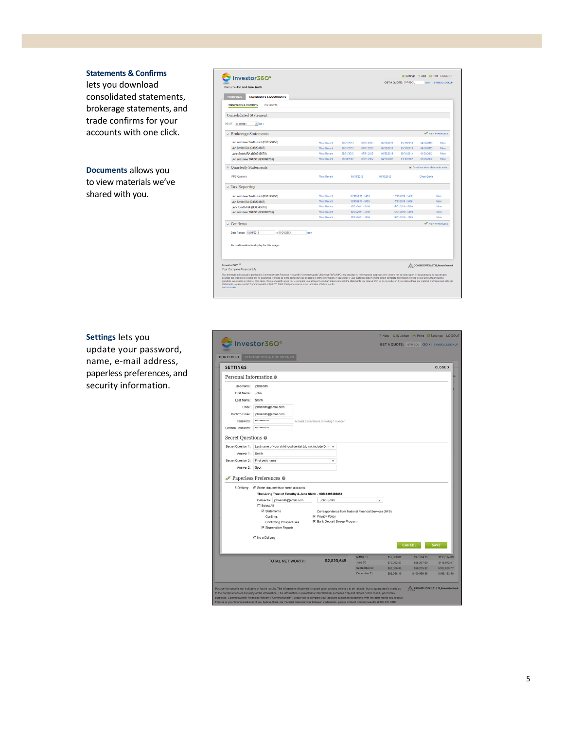#### **Statements & Confirms**

lets you download consolidated statements, brokerage statements, and trade confirms for your accounts with one click.

**Documents** allows you to view materials we've shared with you.

| Investor360°                                                     |                    |            |                   |            | <b>GET A QUOTE: SYMBOL</b> |                                            | GO »   SYMBOL LOOKUP                                                                                                                                                                                                    |
|------------------------------------------------------------------|--------------------|------------|-------------------|------------|----------------------------|--------------------------------------------|-------------------------------------------------------------------------------------------------------------------------------------------------------------------------------------------------------------------------|
| Welcome Jon and Jane Smith                                       |                    |            |                   |            |                            |                                            |                                                                                                                                                                                                                         |
| <b>PORTFOLIO</b><br>STATEMENTS & DOCUMENTS                       |                    |            |                   |            |                            |                                            |                                                                                                                                                                                                                         |
| <b>Statements &amp; Confirms</b><br><b>Documents</b>             |                    |            |                   |            |                            |                                            |                                                                                                                                                                                                                         |
| <b>Consolidated Statement</b>                                    |                    |            |                   |            |                            |                                            |                                                                                                                                                                                                                         |
| AS OF: Yesterday<br>$\overline{\bullet}$ 00 $\overline{\bullet}$ |                    |            |                   |            |                            |                                            |                                                                                                                                                                                                                         |
| <b>Brokerage Statements</b>                                      |                    |            |                   |            |                            | <b>OF VEWPAPERLESS</b>                     |                                                                                                                                                                                                                         |
| Jon and Jane Smith Joint (B36123456)                             | <b>Most Recent</b> | 08/31/2013 | 07/31/2013        | 05/30/2013 | 05/31/2013                 | 04/30/2013                                 | More                                                                                                                                                                                                                    |
| Jon Smith IRA (B36234567)                                        | <b>Most Recent</b> | 08/31/2013 | 07/31/2013        | 06/30/2013 | 05/31/2013                 | 04/30/2013                                 | More                                                                                                                                                                                                                    |
| Jane Smith IRA (B36345678)                                       | <b>Most Recent</b> | 08/31/2013 | 07/31/2013        | 06/30/2013 | 05/31/2013                 | 04/30/2013                                 | More                                                                                                                                                                                                                    |
| Jon and Jane TRUST (B36098765)                                   | <b>Most Recent</b> | 06/30/2002 | 05/31/2002        | 04/30/2002 | 03/30/2002                 | 02/28/2002                                 | More                                                                                                                                                                                                                    |
| <b>Quarterly Statements</b>                                      |                    |            |                   |            |                            | <b>B</b> E-mail me when statements arrive. |                                                                                                                                                                                                                         |
| <b>PPS Quarterly</b>                                             | <b>Most Recent</b> | 09/30/2012 |                   | 06/30/2012 |                            | Client Guide                               |                                                                                                                                                                                                                         |
| <b>Tax Reporting</b>                                             |                    |            |                   |            |                            |                                            |                                                                                                                                                                                                                         |
| Jon and Jane Smith Joint (B36123456)                             | <b>Most Recent</b> |            | 12/01/2011 - 5498 |            | 12/01/2010 - 5498          |                                            | More                                                                                                                                                                                                                    |
| Jon Smith IRA (B36234567)                                        | <b>Most Recent</b> |            | 12/01/2011 - 5498 |            | 12/01/2010 - 5498          |                                            | More                                                                                                                                                                                                                    |
| Jane Smith IRA (B36345678)                                       | <b>Most Recent</b> |            | 12/01/2011 - 5498 |            | 12/01/2010 - 5498          |                                            | More                                                                                                                                                                                                                    |
| Jon and Jane TRUST (B36098765)                                   | <b>Most Recent</b> |            | 12/01/2011 - 5498 |            | 12/01/2010 - 5498          |                                            | More                                                                                                                                                                                                                    |
|                                                                  | <b>Most Recent</b> |            | 12/01/2011 - 1099 |            | 12/01/2010 - 1099          |                                            | More                                                                                                                                                                                                                    |
| Confirms                                                         |                    |            |                   |            |                            | <b>NEW PAPERLESS</b>                       |                                                                                                                                                                                                                         |
| Date Range: 10/01/2013<br>to 11/01/2013<br>loo »                 |                    |            |                   |            |                            |                                            |                                                                                                                                                                                                                         |
|                                                                  |                    |            |                   |            |                            |                                            |                                                                                                                                                                                                                         |
| No confirmations to display for this range.                      |                    |            |                   |            |                            |                                            |                                                                                                                                                                                                                         |
|                                                                  |                    |            |                   |            |                            |                                            |                                                                                                                                                                                                                         |
|                                                                  |                    |            |                   |            |                            |                                            |                                                                                                                                                                                                                         |
|                                                                  |                    |            |                   |            |                            |                                            |                                                                                                                                                                                                                         |
| Investor360 <sup>- ®</sup><br>Your Complete Financial Life       |                    |            |                   |            |                            | A. COMMONWEALTH financial network          |                                                                                                                                                                                                                         |
|                                                                  |                    |            |                   |            |                            |                                            | The information displayed is provided by Commonwealth Financial Network® ("Commonwealth"), Member FINR-VSIPC. It is provided for informational purposes only, should not be relied upon for tax purposes, is based upon |

**Settings** lets you update your password, name, e-mail address, paperless preferences, and security information.